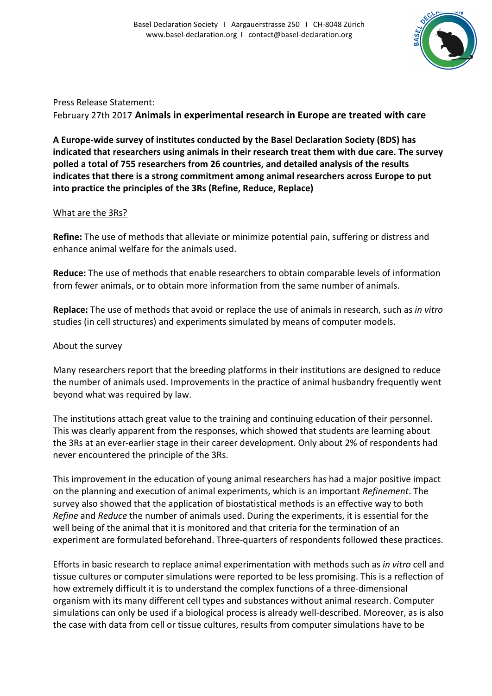

Press Release Statement: February 27th 2017 **Animals in experimental research in Europe are treated with care** 

A Europe-wide survey of institutes conducted by the Basel Declaration Society (BDS) has indicated that researchers using animals in their research treat them with due care. The survey polled a total of 755 researchers from 26 countries, and detailed analysis of the results **indicates that there is a strong commitment among animal researchers across Europe to put into practice the principles of the 3Rs (Refine, Reduce, Replace)** 

## What are the 3Rs?

**Refine:** The use of methods that alleviate or minimize potential pain, suffering or distress and enhance animal welfare for the animals used.

**Reduce:** The use of methods that enable researchers to obtain comparable levels of information from fewer animals, or to obtain more information from the same number of animals.

**Replace:** The use of methods that avoid or replace the use of animals in research, such as *in vitro* studies (in cell structures) and experiments simulated by means of computer models.

## About the survey

Many researchers report that the breeding platforms in their institutions are designed to reduce the number of animals used. Improvements in the practice of animal husbandry frequently went beyond what was required by law.

The institutions attach great value to the training and continuing education of their personnel. This was clearly apparent from the responses, which showed that students are learning about the 3Rs at an ever-earlier stage in their career development. Only about 2% of respondents had never encountered the principle of the 3Rs.

This improvement in the education of young animal researchers has had a major positive impact on the planning and execution of animal experiments, which is an important *Refinement*. The survey also showed that the application of biostatistical methods is an effective way to both *Refine* and *Reduce* the number of animals used. During the experiments, it is essential for the well being of the animal that it is monitored and that criteria for the termination of an experiment are formulated beforehand. Three-quarters of respondents followed these practices.

Efforts in basic research to replace animal experimentation with methods such as *in vitro* cell and tissue cultures or computer simulations were reported to be less promising. This is a reflection of how extremely difficult it is to understand the complex functions of a three-dimensional organism with its many different cell types and substances without animal research. Computer simulations can only be used if a biological process is already well-described. Moreover, as is also the case with data from cell or tissue cultures, results from computer simulations have to be